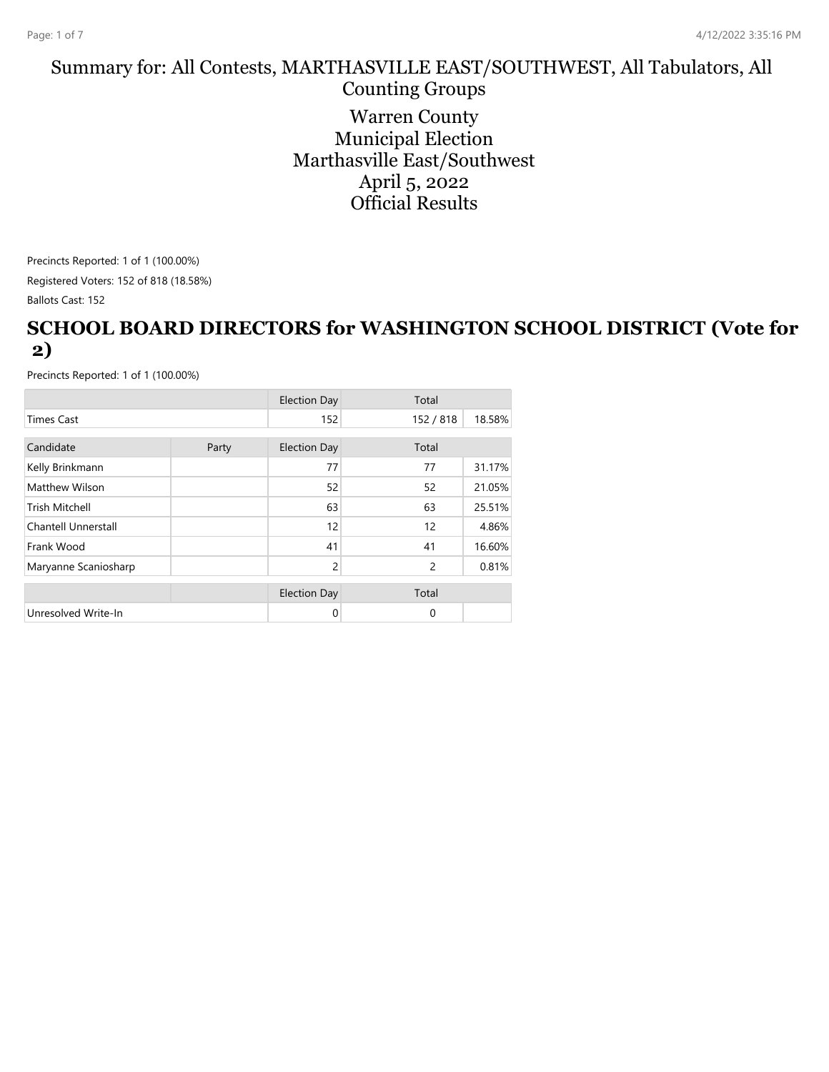#### Summary for: All Contests, MARTHASVILLE EAST/SOUTHWEST, All Tabulators, All Counting Groups

Warren County Municipal Election Marthasville East/Southwest April 5, 2022 Official Results

Precincts Reported: 1 of 1 (100.00%) Registered Voters: 152 of 818 (18.58%)

Ballots Cast: 152

#### **SCHOOL BOARD DIRECTORS for WASHINGTON SCHOOL DISTRICT (Vote for 2)**

|                            |       | <b>Election Day</b> | Total          |        |
|----------------------------|-------|---------------------|----------------|--------|
| <b>Times Cast</b>          |       | 152                 | 152 / 818      | 18.58% |
| Candidate                  |       |                     | Total          |        |
|                            | Party | <b>Election Day</b> |                |        |
| Kelly Brinkmann            |       | 77                  | 77             | 31.17% |
| Matthew Wilson             |       | 52                  | 52             | 21.05% |
| <b>Trish Mitchell</b>      |       | 63                  | 63             | 25.51% |
| <b>Chantell Unnerstall</b> |       | 12                  | 12             | 4.86%  |
| Frank Wood                 |       | 41                  | 41             | 16.60% |
| Maryanne Scaniosharp       |       | 2                   | $\overline{c}$ | 0.81%  |
|                            |       |                     |                |        |
|                            |       | <b>Election Day</b> | Total          |        |
| Unresolved Write-In        |       | 0                   | $\mathbf 0$    |        |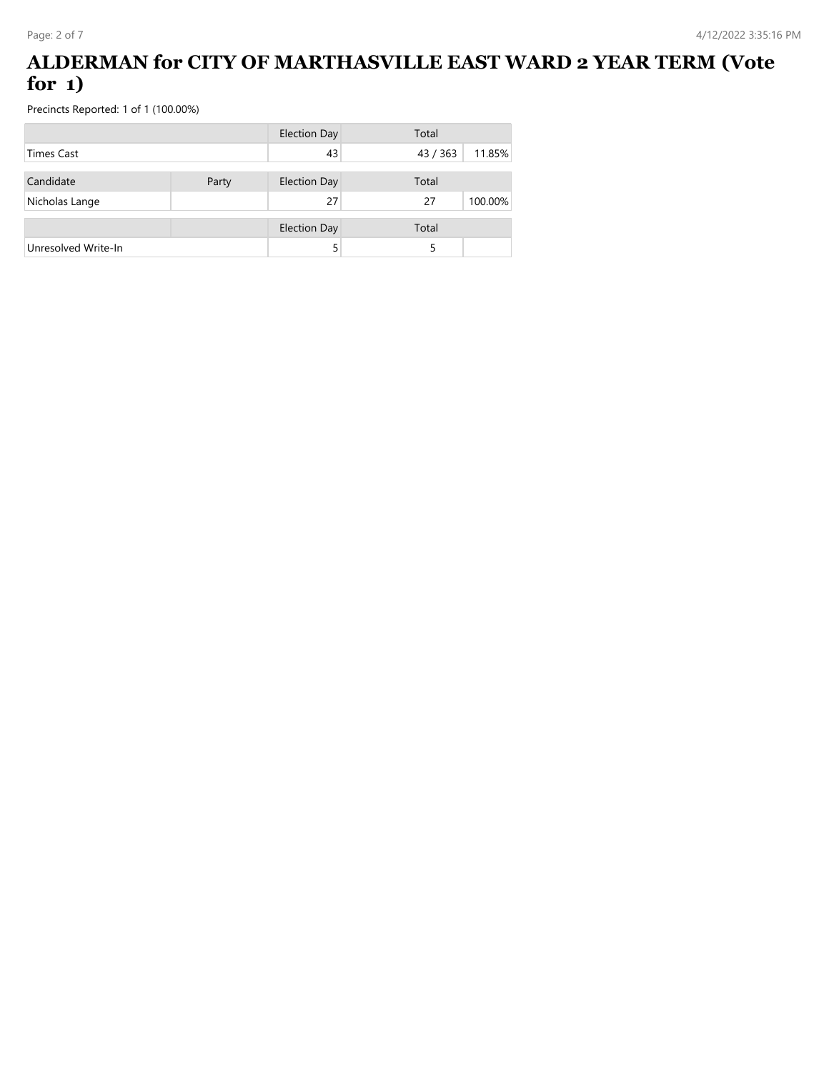## **ALDERMAN for CITY OF MARTHASVILLE EAST WARD 2 YEAR TERM (Vote for 1)**

|                     |       | <b>Election Day</b> | Total    |         |
|---------------------|-------|---------------------|----------|---------|
| Times Cast          |       | 43                  | 43 / 363 | 11.85%  |
| Candidate           | Party | <b>Election Day</b> | Total    |         |
| Nicholas Lange      |       | 27                  | 27       | 100.00% |
|                     |       | <b>Election Day</b> | Total    |         |
| Unresolved Write-In |       |                     |          |         |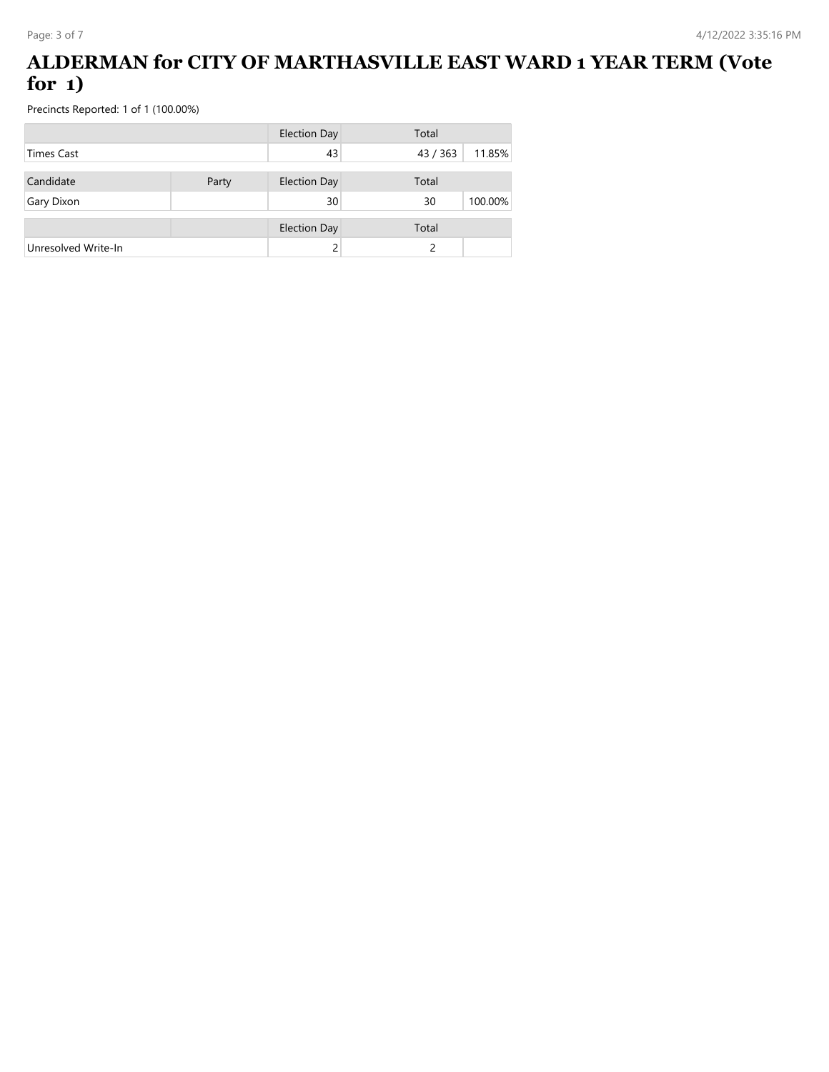## **ALDERMAN for CITY OF MARTHASVILLE EAST WARD 1 YEAR TERM (Vote for 1)**

|                     |       | <b>Election Day</b> | Total  |         |  |
|---------------------|-------|---------------------|--------|---------|--|
| <b>Times Cast</b>   |       | 43                  | 43/363 | 11.85%  |  |
| Candidate           | Party | <b>Election Day</b> | Total  |         |  |
|                     |       |                     |        |         |  |
| Gary Dixon          |       | 30                  | 30     | 100.00% |  |
|                     |       | <b>Election Day</b> | Total  |         |  |
| Unresolved Write-In |       |                     |        |         |  |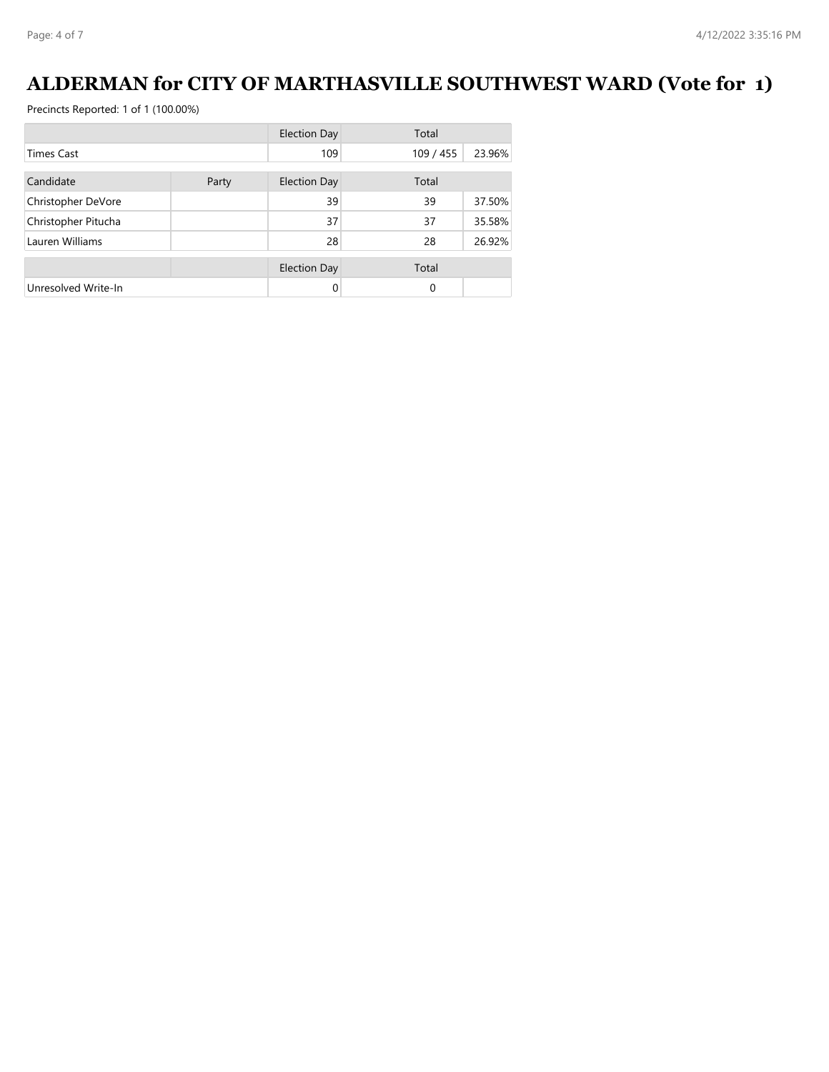# **ALDERMAN for CITY OF MARTHASVILLE SOUTHWEST WARD (Vote for 1)**

|                     |       | <b>Election Day</b> | Total     |        |
|---------------------|-------|---------------------|-----------|--------|
| Times Cast          |       | 109                 | 109 / 455 | 23.96% |
| Candidate           | Party | <b>Election Day</b> | Total     |        |
| Christopher DeVore  |       | 39                  | 39        | 37.50% |
| Christopher Pitucha |       | 37                  | 37        | 35.58% |
| Lauren Williams     |       | 28                  | 28        | 26.92% |
|                     |       | <b>Election Day</b> | Total     |        |
| Unresolved Write-In |       | 0                   | $\Omega$  |        |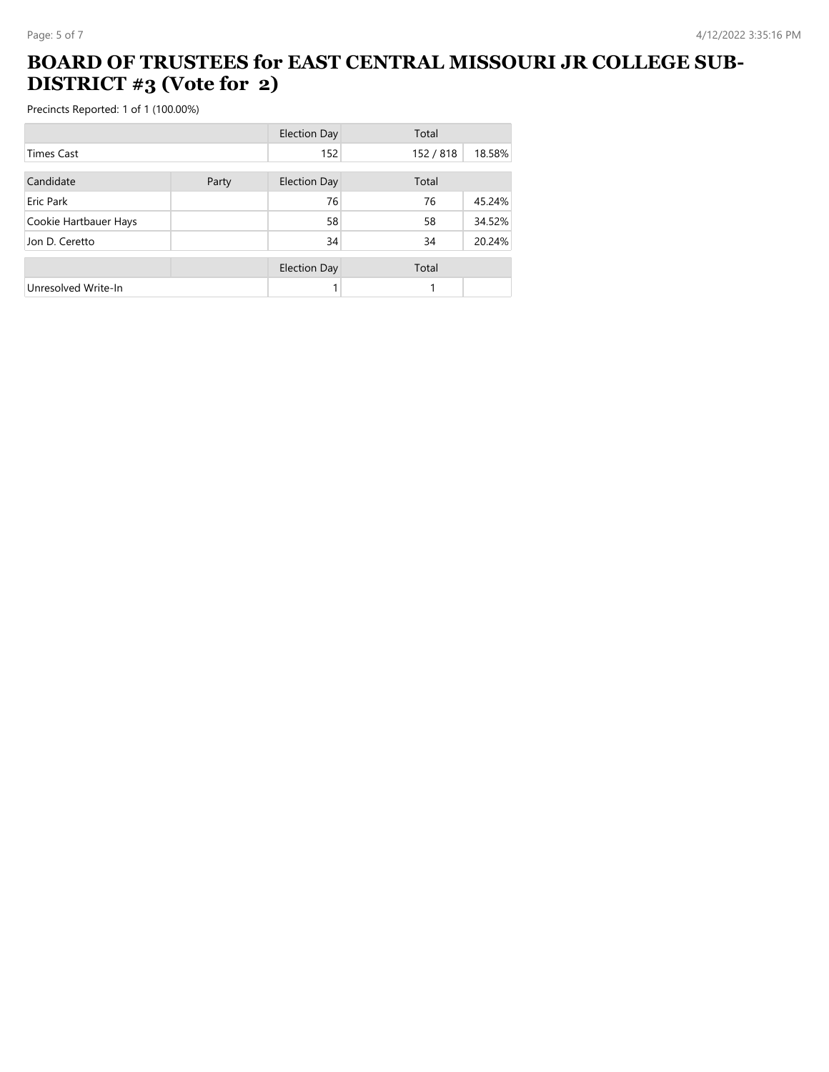### **BOARD OF TRUSTEES for EAST CENTRAL MISSOURI JR COLLEGE SUB-DISTRICT #3 (Vote for 2)**

|                       |       | <b>Election Day</b> | Total     |        |
|-----------------------|-------|---------------------|-----------|--------|
| Times Cast            |       | 152                 | 152 / 818 | 18.58% |
| Candidate             |       | <b>Election Day</b> | Total     |        |
|                       | Party |                     |           |        |
| Eric Park             |       | 76                  | 76        | 45.24% |
| Cookie Hartbauer Hays |       | 58                  | 58        | 34.52% |
| Jon D. Ceretto        |       | 34                  | 34        | 20.24% |
|                       |       | <b>Election Day</b> | Total     |        |
| Unresolved Write-In   |       |                     |           |        |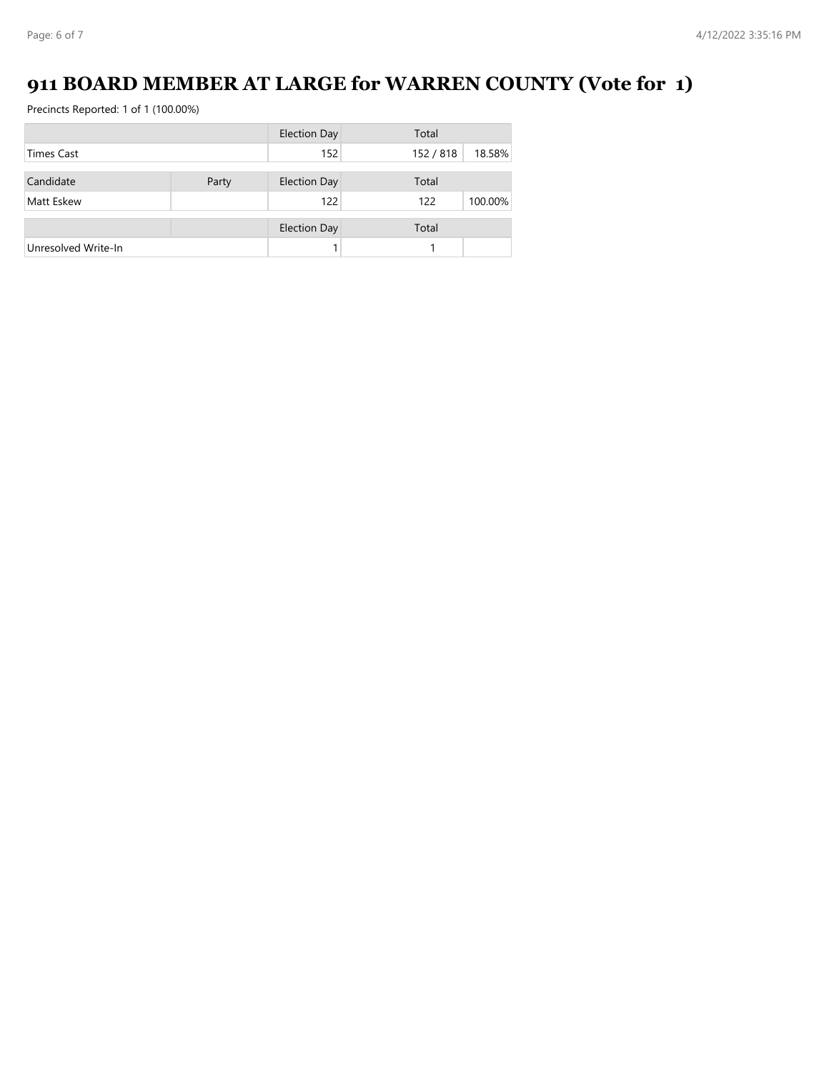## **911 BOARD MEMBER AT LARGE for WARREN COUNTY (Vote for 1)**

|                     |       | <b>Election Day</b> | Total     |         |  |
|---------------------|-------|---------------------|-----------|---------|--|
| <b>Times Cast</b>   |       | 152                 | 152 / 818 | 18.58%  |  |
|                     |       |                     |           |         |  |
| Candidate           | Party | <b>Election Day</b> | Total     |         |  |
| Matt Eskew          |       |                     | 122       | 100.00% |  |
|                     |       | <b>Election Day</b> | Total     |         |  |
| Unresolved Write-In |       |                     |           |         |  |